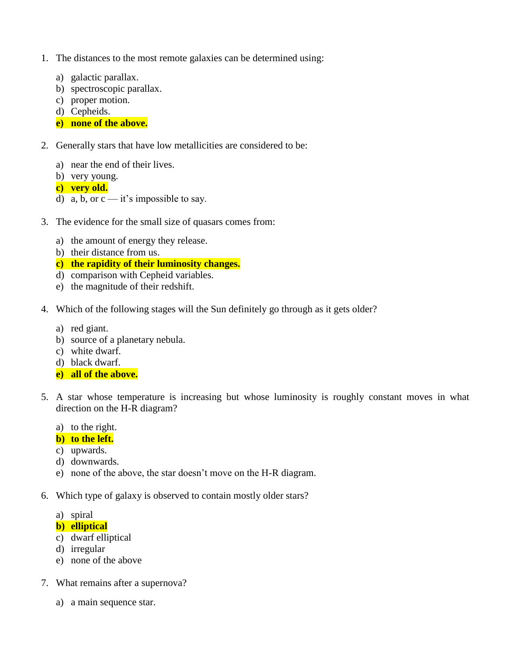- 1. The distances to the most remote galaxies can be determined using:
	- a) galactic parallax.
	- b) spectroscopic parallax.
	- c) proper motion.
	- d) Cepheids.
	- **e) none of the above.**
- 2. Generally stars that have low metallicities are considered to be:
	- a) near the end of their lives.
	- b) very young.
	- **c) very old.**
	- d) a, b, or  $c it$ 's impossible to say.
- 3. The evidence for the small size of quasars comes from:
	- a) the amount of energy they release.
	- b) their distance from us.
	- **c) the rapidity of their luminosity changes.**
	- d) comparison with Cepheid variables.
	- e) the magnitude of their redshift.
- 4. Which of the following stages will the Sun definitely go through as it gets older?
	- a) red giant.
	- b) source of a planetary nebula.
	- c) white dwarf.
	- d) black dwarf.
	- **e) all of the above.**
- 5. A star whose temperature is increasing but whose luminosity is roughly constant moves in what direction on the H-R diagram?
	- a) to the right.

# **b) to the left.**

- c) upwards.
- d) downwards.
- e) none of the above, the star doesn't move on the H-R diagram.
- 6. Which type of galaxy is observed to contain mostly older stars?
	- a) spiral
	- **b) elliptical**
	- c) dwarf elliptical
	- d) irregular
	- e) none of the above
- 7. What remains after a supernova?
	- a) a main sequence star.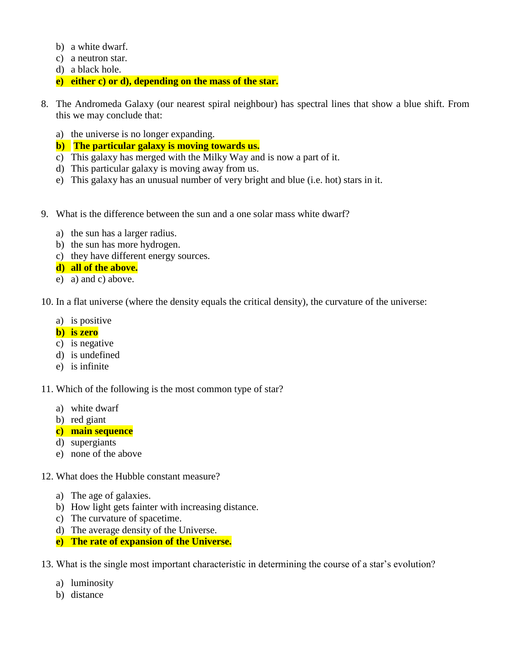- b) a white dwarf.
- c) a neutron star.
- d) a black hole.
- **e) either c) or d), depending on the mass of the star.**
- 8. The Andromeda Galaxy (our nearest spiral neighbour) has spectral lines that show a blue shift. From this we may conclude that:
	- a) the universe is no longer expanding.
	- **b) The particular galaxy is moving towards us.**
	- c) This galaxy has merged with the Milky Way and is now a part of it.
	- d) This particular galaxy is moving away from us.
	- e) This galaxy has an unusual number of very bright and blue (i.e. hot) stars in it.
- 9. What is the difference between the sun and a one solar mass white dwarf?
	- a) the sun has a larger radius.
	- b) the sun has more hydrogen.
	- c) they have different energy sources.

## **d) all of the above.**

e) a) and c) above.

10. In a flat universe (where the density equals the critical density), the curvature of the universe:

- a) is positive
- **b) is zero**
- c) is negative
- d) is undefined
- e) is infinite

11. Which of the following is the most common type of star?

- a) white dwarf
- b) red giant
- **c) main sequence**
- d) supergiants
- e) none of the above
- 12. What does the Hubble constant measure?
	- a) The age of galaxies.
	- b) How light gets fainter with increasing distance.
	- c) The curvature of spacetime.
	- d) The average density of the Universe.
	- **e) The rate of expansion of the Universe.**
- 13. What is the single most important characteristic in determining the course of a star's evolution?
	- a) luminosity
	- b) distance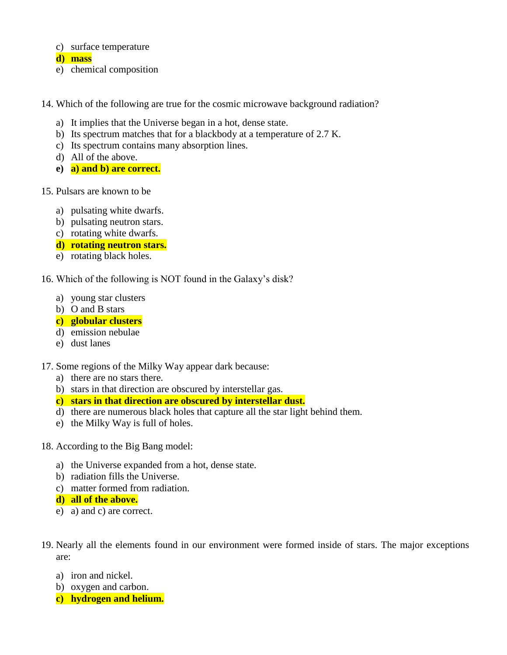#### c) surface temperature

**d) mass**

- e) chemical composition
- 14. Which of the following are true for the cosmic microwave background radiation?
	- a) It implies that the Universe began in a hot, dense state.
	- b) Its spectrum matches that for a blackbody at a temperature of 2.7 K.
	- c) Its spectrum contains many absorption lines.
	- d) All of the above.
	- **e) a) and b) are correct.**
- 15. Pulsars are known to be
	- a) pulsating white dwarfs.
	- b) pulsating neutron stars.
	- c) rotating white dwarfs.
	- **d) rotating neutron stars.**
	- e) rotating black holes.

16. Which of the following is NOT found in the Galaxy's disk?

- a) young star clusters
- b) O and B stars

# **c) globular clusters**

- d) emission nebulae
- e) dust lanes

# 17. Some regions of the Milky Way appear dark because:

- a) there are no stars there.
- b) stars in that direction are obscured by interstellar gas.
- **c) stars in that direction are obscured by interstellar dust.**
- d) there are numerous black holes that capture all the star light behind them.
- e) the Milky Way is full of holes.
- 18. According to the Big Bang model:
	- a) the Universe expanded from a hot, dense state.
	- b) radiation fills the Universe.
	- c) matter formed from radiation.
	- **d) all of the above.**
	- e) a) and c) are correct.
- 19. Nearly all the elements found in our environment were formed inside of stars. The major exceptions are:
	- a) iron and nickel.
	- b) oxygen and carbon.
	- **c) hydrogen and helium.**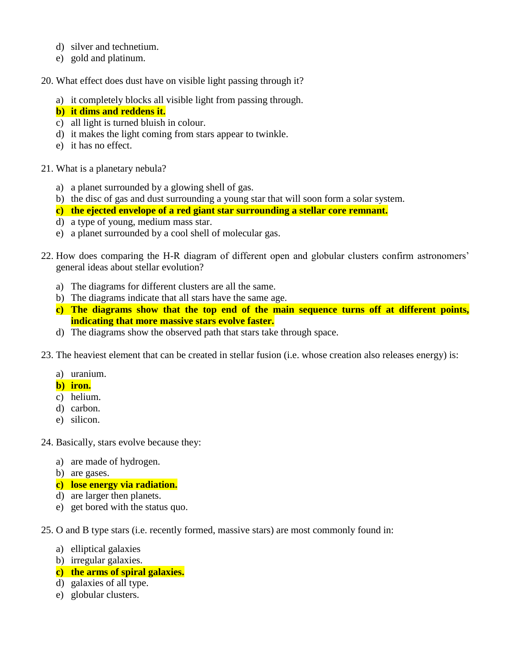- d) silver and technetium.
- e) gold and platinum.

20. What effect does dust have on visible light passing through it?

a) it completely blocks all visible light from passing through.

## **b) it dims and reddens it.**

- c) all light is turned bluish in colour.
- d) it makes the light coming from stars appear to twinkle.
- e) it has no effect.
- 21. What is a planetary nebula?
	- a) a planet surrounded by a glowing shell of gas.
	- b) the disc of gas and dust surrounding a young star that will soon form a solar system.
	- **c) the ejected envelope of a red giant star surrounding a stellar core remnant.**
	- d) a type of young, medium mass star.
	- e) a planet surrounded by a cool shell of molecular gas.
- 22. How does comparing the H-R diagram of different open and globular clusters confirm astronomers' general ideas about stellar evolution?
	- a) The diagrams for different clusters are all the same.
	- b) The diagrams indicate that all stars have the same age.
	- **c) The diagrams show that the top end of the main sequence turns off at different points, indicating that more massive stars evolve faster.**
	- d) The diagrams show the observed path that stars take through space.
- 23. The heaviest element that can be created in stellar fusion (i.e. whose creation also releases energy) is:
	- a) uranium.

# **b) iron.**

- c) helium.
- d) carbon.
- e) silicon.
- 24. Basically, stars evolve because they:
	- a) are made of hydrogen.
	- b) are gases.
	- **c) lose energy via radiation.**
	- d) are larger then planets.
	- e) get bored with the status quo.
- 25. O and B type stars (i.e. recently formed, massive stars) are most commonly found in:
	- a) elliptical galaxies
	- b) irregular galaxies.
	- **c) the arms of spiral galaxies.**
	- d) galaxies of all type.
	- e) globular clusters.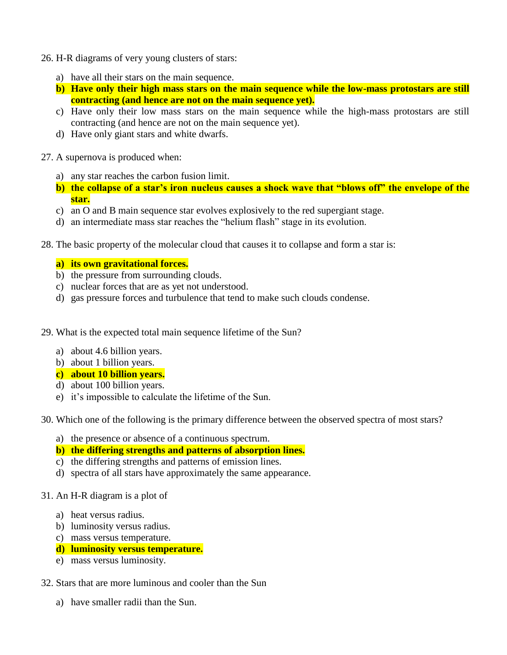- 26. H-R diagrams of very young clusters of stars:
	- a) have all their stars on the main sequence.
	- **b) Have only their high mass stars on the main sequence while the low-mass protostars are still contracting (and hence are not on the main sequence yet).**
	- c) Have only their low mass stars on the main sequence while the high-mass protostars are still contracting (and hence are not on the main sequence yet).
	- d) Have only giant stars and white dwarfs.
- 27. A supernova is produced when:
	- a) any star reaches the carbon fusion limit.
	- **b) the collapse of a star's iron nucleus causes a shock wave that "blows off" the envelope of the star.**
	- c) an O and B main sequence star evolves explosively to the red supergiant stage.
	- d) an intermediate mass star reaches the "helium flash" stage in its evolution.
- 28. The basic property of the molecular cloud that causes it to collapse and form a star is:

### **a) its own gravitational forces.**

- b) the pressure from surrounding clouds.
- c) nuclear forces that are as yet not understood.
- d) gas pressure forces and turbulence that tend to make such clouds condense.
- 29. What is the expected total main sequence lifetime of the Sun?
	- a) about 4.6 billion years.
	- b) about 1 billion years.
	- **c) about 10 billion years.**
	- d) about 100 billion years.
	- e) it's impossible to calculate the lifetime of the Sun.
- 30. Which one of the following is the primary difference between the observed spectra of most stars?
	- a) the presence or absence of a continuous spectrum.
	- **b) the differing strengths and patterns of absorption lines.**
	- c) the differing strengths and patterns of emission lines.
	- d) spectra of all stars have approximately the same appearance.
- 31. An H-R diagram is a plot of
	- a) heat versus radius.
	- b) luminosity versus radius.
	- c) mass versus temperature.

## **d) luminosity versus temperature.**

- e) mass versus luminosity.
- 32. Stars that are more luminous and cooler than the Sun
	- a) have smaller radii than the Sun.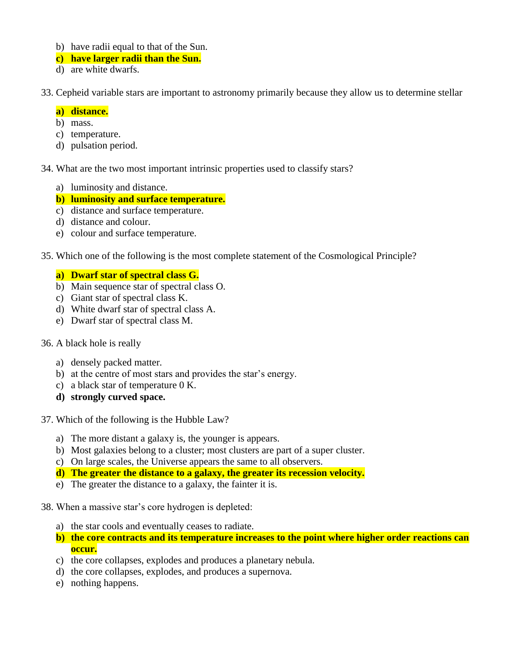- b) have radii equal to that of the Sun.
- **c) have larger radii than the Sun.**
- d) are white dwarfs.
- 33. Cepheid variable stars are important to astronomy primarily because they allow us to determine stellar

### **a) distance.**

- b) mass.
- c) temperature.
- d) pulsation period.
- 34. What are the two most important intrinsic properties used to classify stars?
	- a) luminosity and distance.
	- **b) luminosity and surface temperature.**
	- c) distance and surface temperature.
	- d) distance and colour.
	- e) colour and surface temperature.
- 35. Which one of the following is the most complete statement of the Cosmological Principle?

## **a) Dwarf star of spectral class G.**

- b) Main sequence star of spectral class O.
- c) Giant star of spectral class K.
- d) White dwarf star of spectral class A.
- e) Dwarf star of spectral class M.
- 36. A black hole is really
	- a) densely packed matter.
	- b) at the centre of most stars and provides the star's energy.
	- c) a black star of temperature 0 K.
	- **d) strongly curved space.**
- 37. Which of the following is the Hubble Law?
	- a) The more distant a galaxy is, the younger is appears.
	- b) Most galaxies belong to a cluster; most clusters are part of a super cluster.
	- c) On large scales, the Universe appears the same to all observers.
	- **d) The greater the distance to a galaxy, the greater its recession velocity.**
	- e) The greater the distance to a galaxy, the fainter it is.
- 38. When a massive star's core hydrogen is depleted:
	- a) the star cools and eventually ceases to radiate.
	- **b) the core contracts and its temperature increases to the point where higher order reactions can occur.**
	- c) the core collapses, explodes and produces a planetary nebula.
	- d) the core collapses, explodes, and produces a supernova.
	- e) nothing happens.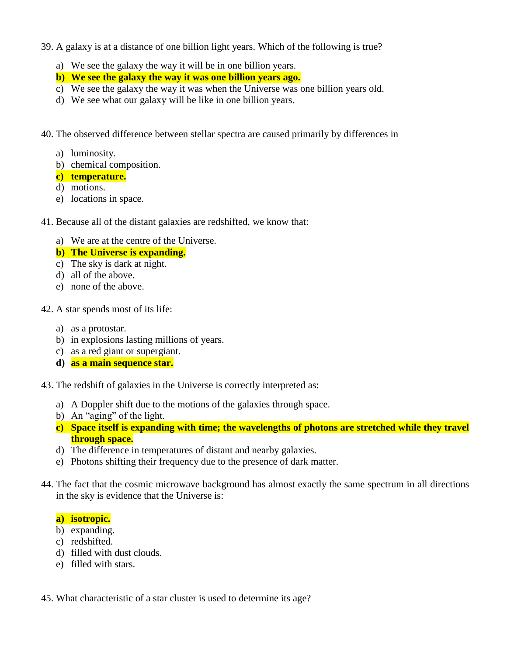- 39. A galaxy is at a distance of one billion light years. Which of the following is true?
	- a) We see the galaxy the way it will be in one billion years.
	- **b) We see the galaxy the way it was one billion years ago.**
	- c) We see the galaxy the way it was when the Universe was one billion years old.
	- d) We see what our galaxy will be like in one billion years.
- 40. The observed difference between stellar spectra are caused primarily by differences in
	- a) luminosity.
	- b) chemical composition.
	- **c) temperature.**
	- d) motions.
	- e) locations in space.
- 41. Because all of the distant galaxies are redshifted, we know that:
	- a) We are at the centre of the Universe.
	- **b) The Universe is expanding.**
	- c) The sky is dark at night.
	- d) all of the above.
	- e) none of the above.
- 42. A star spends most of its life:
	- a) as a protostar.
	- b) in explosions lasting millions of years.
	- c) as a red giant or supergiant.
	- **d) as a main sequence star.**
- 43. The redshift of galaxies in the Universe is correctly interpreted as:
	- a) A Doppler shift due to the motions of the galaxies through space.
	- b) An "aging" of the light.
	- **c) Space itself is expanding with time; the wavelengths of photons are stretched while they travel through space.**
	- d) The difference in temperatures of distant and nearby galaxies.
	- e) Photons shifting their frequency due to the presence of dark matter.
- 44. The fact that the cosmic microwave background has almost exactly the same spectrum in all directions in the sky is evidence that the Universe is:

# **a) isotropic.**

- b) expanding.
- c) redshifted.
- d) filled with dust clouds.
- e) filled with stars.
- 45. What characteristic of a star cluster is used to determine its age?